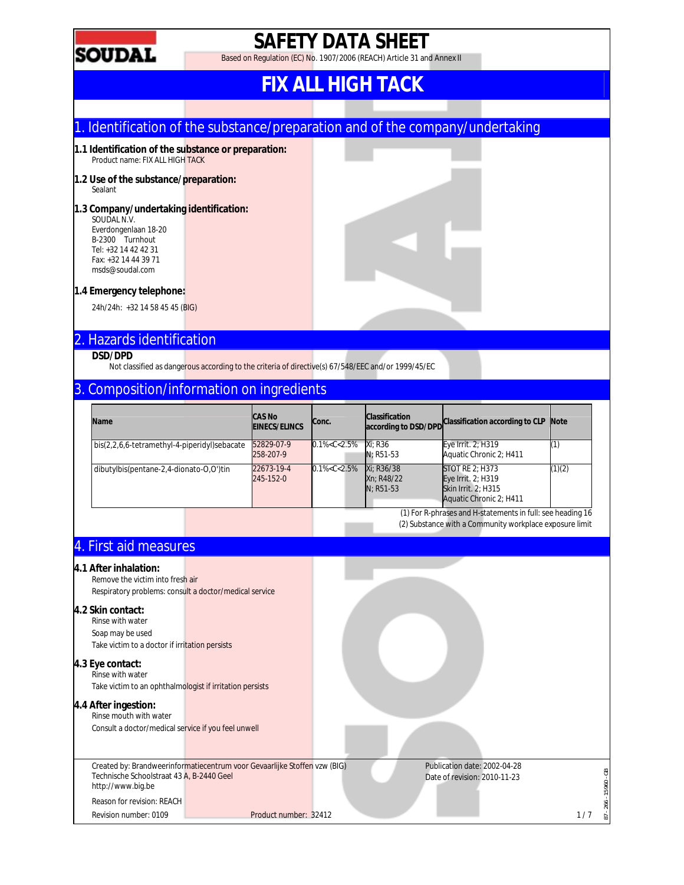

## **SAFETY DATA SHEET**

Based on Regulation (EC) No. 1907/2006 (REACH) Article 31 and Annex II

## **FIX ALL HIGH TACK**

### 1. Identification of the substance/preparation and of the company/undertaking

- **1.1 Identification of the substance or preparation:** Product name: FIX ALL HIGH TACK
- **1.2 Use of the substance/preparation:** Sealant
- **1.3 Company/undertaking identification:** SOUDAL N.V.
	- Everdongenlaan 18-20 B-2300 Turnhout Tel: +32 14 42 42 31 Fax: +32 14 44 39 71 msds@soudal.com
- **1.4 Emergency telephone:**

24h/24h: +32 14 58 45 45 (BIG)

### 2. Hazards identification

#### **DSD/DPD**

Not classified as dangerous according to the criteria of directive(s) 67/548/EEC and/or 1999/45/EC

### 3. Composition/information on ingredients

| Name                                         | <b>CAS No</b><br><b>EINECS/ELINCS</b> | Conc.               | <b>Classification</b><br>according to DSD/DPD | Classification according to CLP                                                                       | <b>Note</b> |
|----------------------------------------------|---------------------------------------|---------------------|-----------------------------------------------|-------------------------------------------------------------------------------------------------------|-------------|
| bis(2,2,6,6-tetramethyl-4-piperidyl)sebacate | 52829-07-9<br>258-207-9               | $0.1\% < C < 2.5\%$ | Xi: R36<br>$N: R51-53$                        | Eye Irrit. 2; H319<br>Aquatic Chronic 2: H411                                                         |             |
| dibutylbis(pentane-2,4-dionato-0,0')tin      | 22673-19-4<br>245-152-0               | $0.1\% < C < 2.5\%$ | Xi: R36/38<br>Xn: R48/22<br>$N: R51-53$       | <b>STOT RE 2: H373</b><br>Eye Irrit. 2; H319<br><b>Skin Irrit. 2: H315</b><br>Aquatic Chronic 2; H411 | (1)(2)      |

(1) For R-phrases and H-statements in full: see heading 16 (2) Substance with a Community workplace exposure limit

### 4. First aid measures

#### **4.1 After inhalation:**

Remove the victim into fresh air Respiratory problems: consult a doctor/medical service

#### **4.2 Skin contact:**

Rinse with water Soap may be used Take victim to a doctor if irritation persists

#### **4.3 Eye contact:**

Rinse with water Take victim to an ophthalmologist if irritation persists

#### **4.4 After ingestion:**

Rinse mouth with water Consult a doctor/medical service if you feel unwell

Created by: Brandweerinformatiecentrum voor Gevaarlijke Stoffen vzw (BIG) Technische Schoolstraat 43 A, B-2440 Geel http://www.big.be

Reason for revision: REACH

Revision number: 0109 Product number: 32412 1/7

Publication date: 2002-04-28

Date of revision: 2010-11-23

87 - 266 - 15960 - GB

පි 15960-266 - $\overline{87}$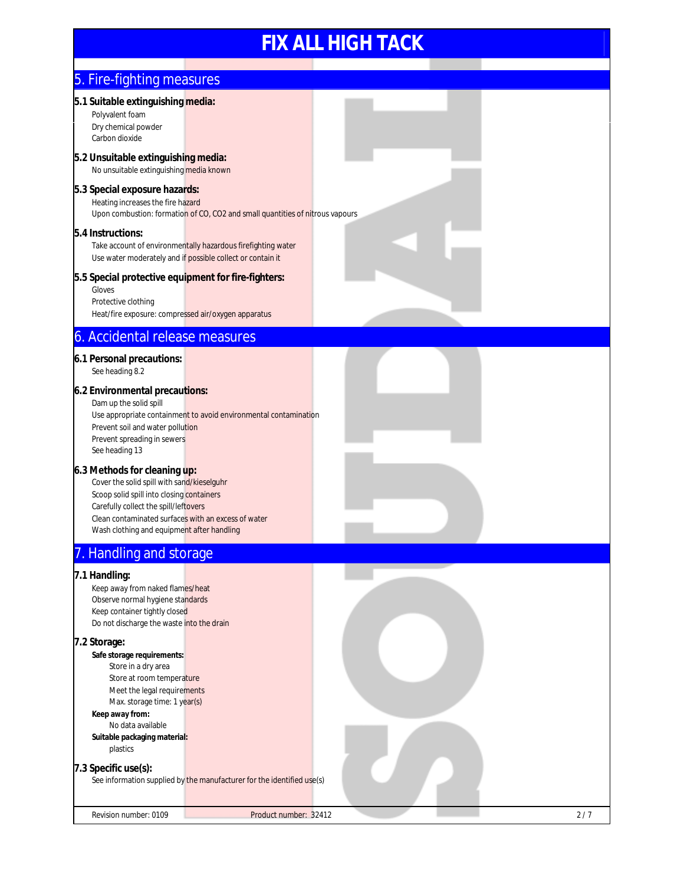| 5. Fire-fighting measures                                                                                                                                                                                                                                             |                                                                                                                            |     |
|-----------------------------------------------------------------------------------------------------------------------------------------------------------------------------------------------------------------------------------------------------------------------|----------------------------------------------------------------------------------------------------------------------------|-----|
| 5.1 Suitable extinguishing media:<br>Polyvalent foam<br>Dry chemical powder<br>Carbon dioxide                                                                                                                                                                         |                                                                                                                            |     |
| 5.2 Unsuitable extinguishing media:<br>No unsuitable extinguishing media known                                                                                                                                                                                        |                                                                                                                            |     |
| 5.3 Special exposure hazards:<br>Heating increases the fire hazard                                                                                                                                                                                                    | Upon combustion: formation of CO, CO2 and small quantities of nitrous vapours                                              |     |
| 5.4 Instructions:                                                                                                                                                                                                                                                     | Take account of environmentally hazardous firefighting water<br>Use water moderately and if possible collect or contain it |     |
| 5.5 Special protective equipment for fire-fighters:<br>Gloves<br>Protective clothing<br>Heat/fire exposure: compressed air/oxygen apparatus                                                                                                                           |                                                                                                                            |     |
| 6. Accidental release measures                                                                                                                                                                                                                                        |                                                                                                                            |     |
| 6.1 Personal precautions:<br>See heading 8.2                                                                                                                                                                                                                          |                                                                                                                            |     |
| 6.2 Environmental precautions:<br>Dam up the solid spill<br>Prevent soil and water pollution<br>Prevent spreading in sewers<br>See heading 13                                                                                                                         | Use appropriate containment to avoid environmental contamination                                                           |     |
| 6.3 Methods for cleaning up:<br>Cover the solid spill with sand/kieselguhr<br>Scoop solid spill into closing containers<br>Carefully collect the spill/leftovers<br>Clean contaminated surfaces with an excess of water<br>Wash clothing and equipment after handling |                                                                                                                            |     |
| . Handling and storage                                                                                                                                                                                                                                                |                                                                                                                            |     |
| 7.1 Handling:<br>Keep away from naked flames/heat<br>Observe normal hygiene standards<br>Keep container tightly closed<br>Do not discharge the waste into the drain                                                                                                   |                                                                                                                            |     |
| 7.2 Storage:<br>Safe storage requirements:<br>Store in a dry area<br>Store at room temperature<br>Meet the legal requirements<br>Max. storage time: 1 year(s)<br>Keep away from:<br>No data available<br>Suitable packaging material:<br>plastics                     |                                                                                                                            |     |
| 7.3 Specific use(s):                                                                                                                                                                                                                                                  | See information supplied by the manufacturer for the identified use(s)                                                     |     |
| Revision number: 0109                                                                                                                                                                                                                                                 | Product number: 32412                                                                                                      | 2/7 |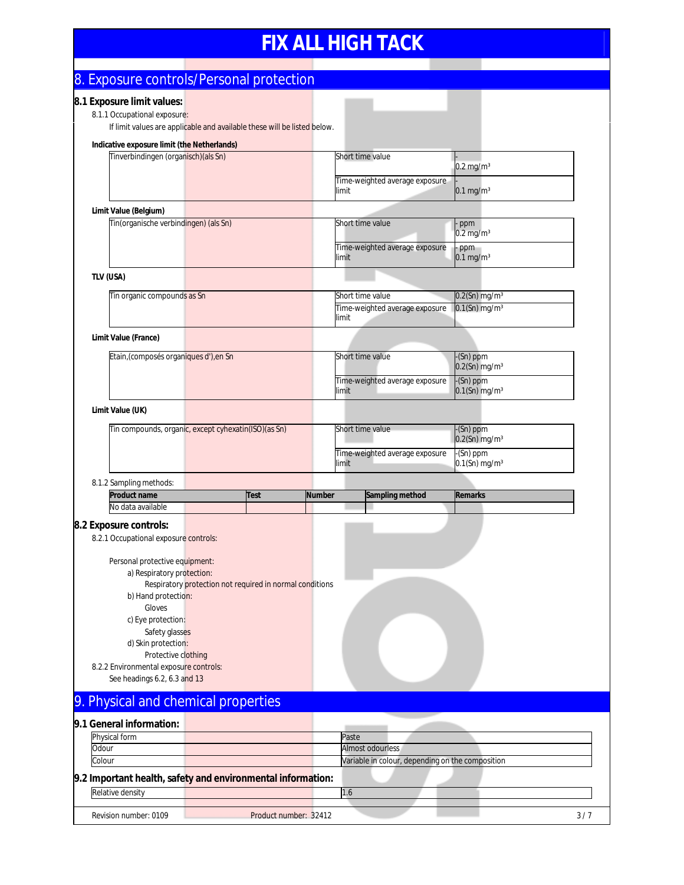## 8. Exposure controls/Personal protection

#### **8.1 Exposure limit values:**

8.1.1 Occupational exposure: If limit values are applicable and available these will be listed below.

| Indicative exposure limit (the Netherlands)<br>Tinverbindingen (organisch) (als Sn)                                                                                          |                                                          |             |                                | Short time value                                 |                                    |  |
|------------------------------------------------------------------------------------------------------------------------------------------------------------------------------|----------------------------------------------------------|-------------|--------------------------------|--------------------------------------------------|------------------------------------|--|
|                                                                                                                                                                              |                                                          |             |                                |                                                  | $0.2$ mg/m <sup>3</sup>            |  |
|                                                                                                                                                                              |                                                          | limit       | Time-weighted average exposure | $0.1$ mg/m $3$                                   |                                    |  |
| Limit Value (Belgium)                                                                                                                                                        |                                                          |             |                                |                                                  |                                    |  |
| Tin(organische verbindingen) (als Sn)                                                                                                                                        |                                                          |             |                                | Short time value                                 | ppm<br>$0.2$ mg/m <sup>3</sup>     |  |
|                                                                                                                                                                              |                                                          |             | limit                          | Time-weighted average exposure                   | - ppm<br>$0.1$ mg/m $3$            |  |
| TLV (USA)                                                                                                                                                                    |                                                          |             |                                |                                                  |                                    |  |
| Tin organic compounds as Sn                                                                                                                                                  |                                                          |             |                                | Short time value                                 | $0.2$ (Sn) mg/m $3$                |  |
|                                                                                                                                                                              |                                                          |             | limit                          | Time-weighted average exposure                   | $0.1$ (Sn) mg/m $3$                |  |
| Limit Value (France)                                                                                                                                                         |                                                          |             |                                |                                                  |                                    |  |
| Etain, (composés organiques d'), en Sn                                                                                                                                       |                                                          |             |                                | Short time value                                 | -(Sn) ppm                          |  |
|                                                                                                                                                                              |                                                          |             |                                |                                                  | $0.2$ (Sn) mg/m $3$                |  |
|                                                                                                                                                                              |                                                          |             | limit                          | Time-weighted average exposure                   | -(Sn) ppm<br>$0.1$ (Sn) mg/m $3$   |  |
| Limit Value (UK)                                                                                                                                                             |                                                          |             |                                |                                                  |                                    |  |
| Tin compounds, organic, except cyhexatin(ISO)(as Sn)                                                                                                                         |                                                          |             |                                | Short time value                                 | $-(Sn)$ ppm<br>$0.2$ (Sn) mg/m $3$ |  |
|                                                                                                                                                                              |                                                          |             |                                | Time-weighted average exposure                   | -(Sn) ppm                          |  |
|                                                                                                                                                                              |                                                          |             | limit                          |                                                  | $0.1$ (Sn) mg/m $3$                |  |
|                                                                                                                                                                              |                                                          |             |                                |                                                  |                                    |  |
| 8.1.2 Sampling methods:                                                                                                                                                      |                                                          |             |                                |                                                  |                                    |  |
| <b>Product name</b>                                                                                                                                                          |                                                          | <b>Test</b> | <b>Number</b>                  | Sampling method                                  | <b>Remarks</b>                     |  |
| No data available                                                                                                                                                            |                                                          |             |                                |                                                  |                                    |  |
|                                                                                                                                                                              |                                                          |             |                                |                                                  |                                    |  |
| 8.2.1 Occupational exposure controls:                                                                                                                                        |                                                          |             |                                |                                                  |                                    |  |
|                                                                                                                                                                              |                                                          |             |                                |                                                  |                                    |  |
| Personal protective equipment:                                                                                                                                               |                                                          |             |                                |                                                  |                                    |  |
| a) Respiratory protection:                                                                                                                                                   |                                                          |             |                                |                                                  |                                    |  |
|                                                                                                                                                                              | Respiratory protection not required in normal conditions |             |                                |                                                  |                                    |  |
| b) Hand protection:<br>Gloves                                                                                                                                                |                                                          |             |                                |                                                  |                                    |  |
| c) Eye protection:                                                                                                                                                           |                                                          |             |                                |                                                  |                                    |  |
|                                                                                                                                                                              |                                                          |             |                                |                                                  |                                    |  |
| Safety glasses<br>d) Skin protection:                                                                                                                                        |                                                          |             |                                |                                                  |                                    |  |
| Protective clothing                                                                                                                                                          |                                                          |             |                                |                                                  |                                    |  |
| 8.2.2 Environmental exposure controls:                                                                                                                                       |                                                          |             |                                |                                                  |                                    |  |
| See headings 6.2, 6.3 and 13                                                                                                                                                 |                                                          |             |                                |                                                  |                                    |  |
|                                                                                                                                                                              |                                                          |             |                                |                                                  |                                    |  |
|                                                                                                                                                                              |                                                          |             |                                |                                                  |                                    |  |
| Physical form                                                                                                                                                                |                                                          |             |                                | Paste                                            |                                    |  |
| Odour                                                                                                                                                                        |                                                          |             |                                | Almost odourless                                 |                                    |  |
| Colour                                                                                                                                                                       |                                                          |             |                                | Variable in colour, depending on the composition |                                    |  |
| 8.2 Exposure controls:<br>9. Physical and chemical properties<br>9.1 General information:<br>9.2 Important health, safety and environmental information:<br>Relative density |                                                          |             |                                |                                                  |                                    |  |

Revision number: 0109 **Product number: 32412** 3/7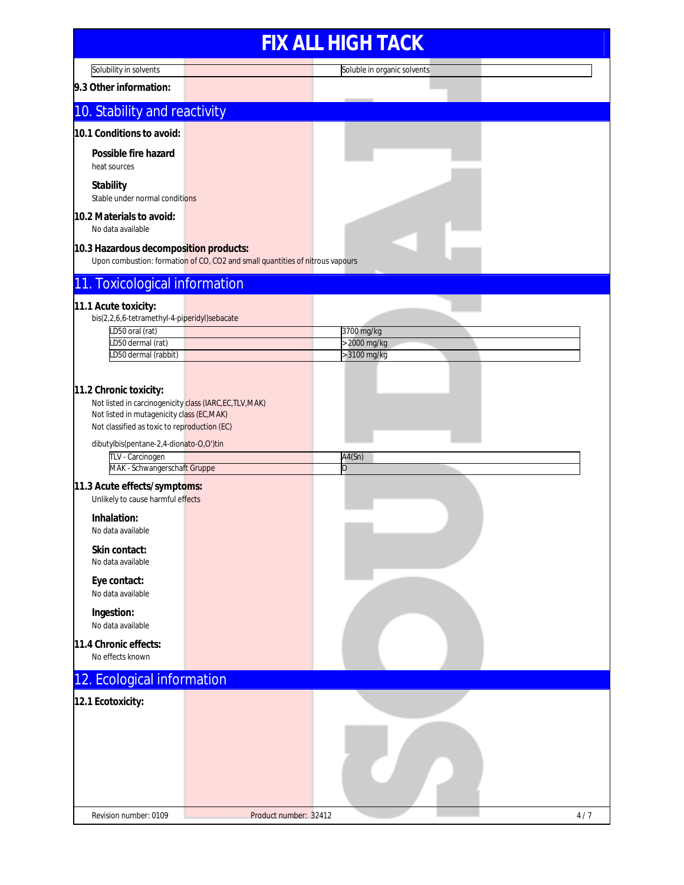## **FIX ALL HIGH TACK** Solubility in solvents Soluble in organic solvents **9.3 Other information:** 10. Stability and reactivity **10.1 Conditions to avoid: Possible fire hazard** heat sources **Stability** Stable under normal conditions **10.2 Materials to avoid:** No data available **10.3 Hazardous decomposition products:** Upon combustion: formation of CO, CO2 and small quantities of nitrous vapours 11. Toxicological information **11.1 Acute toxicity:** bis(2,2,6,6-tetramethyl-4-piperidyl)sebacate LD50 oral (rat) 3700 mg/kg LD50 dermal (rat) > 2000 mg/kg LD50 dermal (rabbit) is a state of the state of the state of the state of the state of the state of the state of the state of the state of the state of the state of the state of the state of the state of the state of the s **11.2 Chronic toxicity:** Not listed in carcinogenicity class (IARC,EC,TLV,MAK) Not listed in mutagenicity class (EC,MAK) Not classified as toxic to reproduction (EC) dibutylbis(pentane-2,4-dionato-O,O')tin TLV - Carcinogen A4(Sn) MAK - Schwangerschaft Gruppe Deserted and D **11.3 Acute effects/symptoms:** Unlikely to cause harmful effects **Inhalation:** No data available **Skin contact:** No data available **Eye contact:** No data available **Ingestion:** No data available **11.4 Chronic effects:** No effects known 12. Ecological information **12.1 Ecotoxicity:** Revision number: 0109 **Product number: 32412** 4/7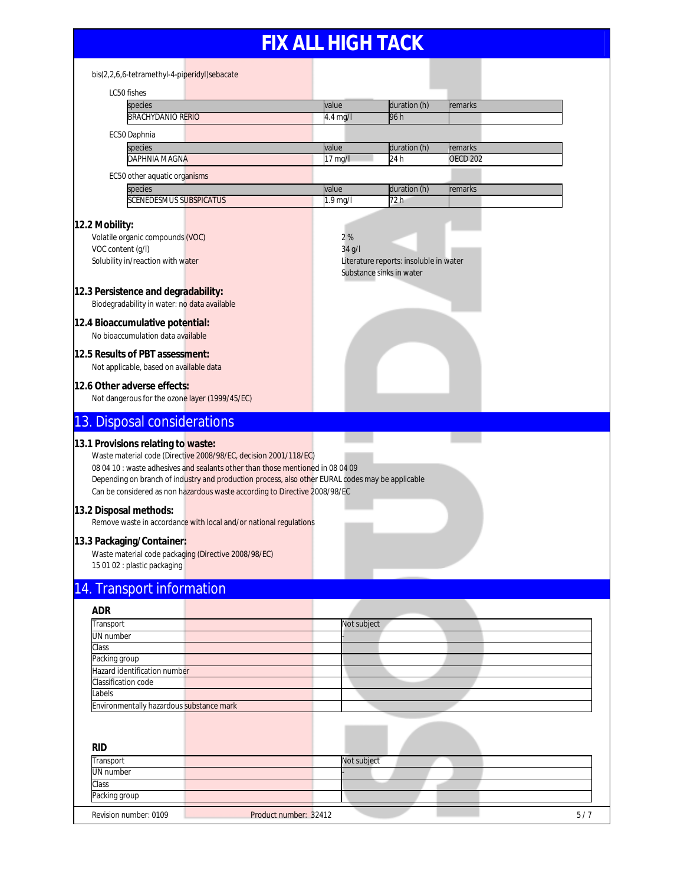| bis(2,2,6,6-tetramethyl-4-piperidyl)sebacate                                                                                                                                                                                                                                                                                                                               |                |                                                                    |                 |     |
|----------------------------------------------------------------------------------------------------------------------------------------------------------------------------------------------------------------------------------------------------------------------------------------------------------------------------------------------------------------------------|----------------|--------------------------------------------------------------------|-----------------|-----|
| LC50 fishes                                                                                                                                                                                                                                                                                                                                                                |                |                                                                    |                 |     |
| species                                                                                                                                                                                                                                                                                                                                                                    | value          | duration (h)                                                       | remarks         |     |
| <b>BRACHYDANIO RERIO</b>                                                                                                                                                                                                                                                                                                                                                   | $4.4$ mg/l     | 96 h                                                               |                 |     |
| EC50 Daphnia                                                                                                                                                                                                                                                                                                                                                               |                |                                                                    |                 |     |
| species                                                                                                                                                                                                                                                                                                                                                                    | value          | duration (h)                                                       | remarks         |     |
| DAPHNIA MAGNA                                                                                                                                                                                                                                                                                                                                                              | 17 mg/l        | 24 h                                                               | <b>OECD 202</b> |     |
| EC50 other aquatic organisms                                                                                                                                                                                                                                                                                                                                               |                |                                                                    |                 |     |
| species                                                                                                                                                                                                                                                                                                                                                                    | value          | duration (h)                                                       | remarks         |     |
| <b>SCENEDESMUS SUBSPICATUS</b>                                                                                                                                                                                                                                                                                                                                             | 1.9 mg/l       | 72 h                                                               |                 |     |
| 12.2 Mobility:<br>Volatile organic compounds (VOC)<br>VOC content (g/l)<br>Solubility in/reaction with water                                                                                                                                                                                                                                                               | 2%<br>$34$ g/l | Literature reports: insoluble in water<br>Substance sinks in water |                 |     |
| 12.3 Persistence and degradability:<br>Biodegradability in water: no data available                                                                                                                                                                                                                                                                                        |                |                                                                    |                 |     |
| 12.4 Bioaccumulative potential:<br>No bioaccumulation data available                                                                                                                                                                                                                                                                                                       |                |                                                                    |                 |     |
| 12.5 Results of PBT assessment:<br>Not applicable, based on available data                                                                                                                                                                                                                                                                                                 |                |                                                                    |                 |     |
| 12.6 Other adverse effects:<br>Not dangerous for the ozone layer (1999/45/EC)                                                                                                                                                                                                                                                                                              |                |                                                                    |                 |     |
| 13. Disposal considerations                                                                                                                                                                                                                                                                                                                                                |                |                                                                    |                 |     |
| 13.1 Provisions relating to waste:<br>Waste material code (Directive 2008/98/EC, decision 2001/118/EC)<br>08 04 10 : waste adhesives and sealants other than those mentioned in 08 04 09<br>Depending on branch of industry and production process, also other EURAL codes may be applicable<br>Can be considered as non hazardous waste according to Directive 2008/98/EC |                |                                                                    |                 |     |
| 13.2 Disposal methods:<br>Remove waste in accordance with local and/or national regulations                                                                                                                                                                                                                                                                                |                |                                                                    |                 |     |
| 13.3 Packaging/Container:<br>Waste material code packaging (Directive 2008/98/EC)<br>15 01 02 : plastic packaging                                                                                                                                                                                                                                                          |                |                                                                    |                 |     |
| 14. Transport information                                                                                                                                                                                                                                                                                                                                                  |                |                                                                    |                 |     |
| <b>ADR</b>                                                                                                                                                                                                                                                                                                                                                                 |                |                                                                    |                 |     |
| Transport                                                                                                                                                                                                                                                                                                                                                                  | Not subject    |                                                                    |                 |     |
| UN number                                                                                                                                                                                                                                                                                                                                                                  |                |                                                                    |                 |     |
| Class<br>Packing group                                                                                                                                                                                                                                                                                                                                                     |                |                                                                    |                 |     |
| Hazard identification number                                                                                                                                                                                                                                                                                                                                               |                |                                                                    |                 |     |
| Classification code                                                                                                                                                                                                                                                                                                                                                        |                |                                                                    |                 |     |
| abels                                                                                                                                                                                                                                                                                                                                                                      |                |                                                                    |                 |     |
| Environmentally hazardous substance mark                                                                                                                                                                                                                                                                                                                                   |                |                                                                    |                 |     |
|                                                                                                                                                                                                                                                                                                                                                                            |                |                                                                    |                 |     |
| <b>RID</b>                                                                                                                                                                                                                                                                                                                                                                 |                |                                                                    |                 |     |
| Transport                                                                                                                                                                                                                                                                                                                                                                  | Not subject    |                                                                    |                 |     |
| <b>UN</b> number                                                                                                                                                                                                                                                                                                                                                           |                |                                                                    |                 |     |
| Class<br>Packing group                                                                                                                                                                                                                                                                                                                                                     |                |                                                                    |                 |     |
|                                                                                                                                                                                                                                                                                                                                                                            |                |                                                                    |                 |     |
| Revision number: 0109<br>Product number: 32412                                                                                                                                                                                                                                                                                                                             |                |                                                                    |                 | 5/7 |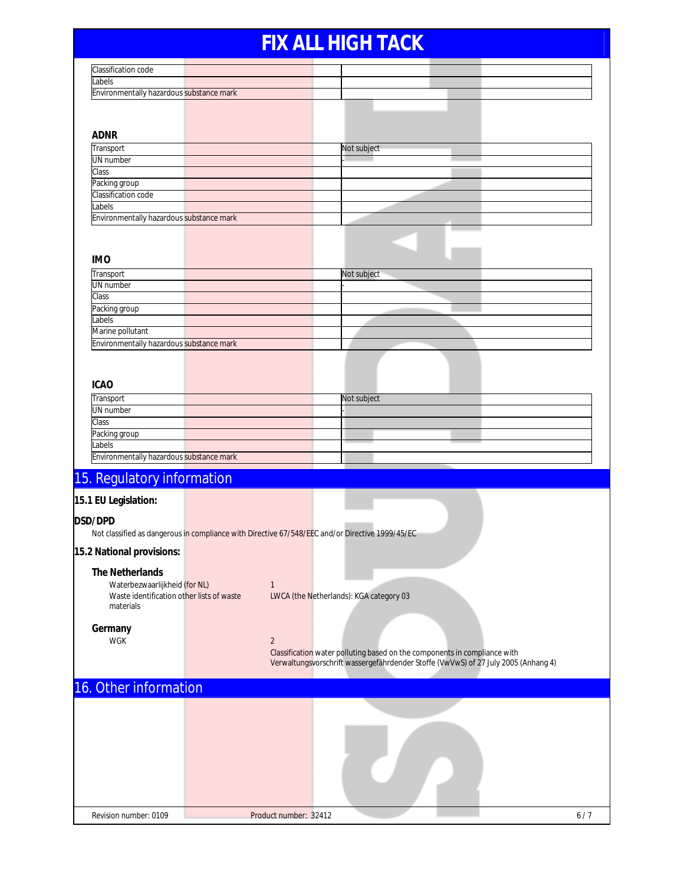| Classification code                       |                                                                                                 |
|-------------------------------------------|-------------------------------------------------------------------------------------------------|
| abels                                     |                                                                                                 |
| Environmentally hazardous substance mark  |                                                                                                 |
|                                           |                                                                                                 |
|                                           |                                                                                                 |
|                                           |                                                                                                 |
| <b>ADNR</b>                               |                                                                                                 |
| Transport                                 | Not subject                                                                                     |
| UN number                                 |                                                                                                 |
| Class                                     |                                                                                                 |
| Packing group                             |                                                                                                 |
| Classification code                       |                                                                                                 |
| abels                                     |                                                                                                 |
| Environmentally hazardous substance mark  |                                                                                                 |
|                                           |                                                                                                 |
|                                           |                                                                                                 |
| <b>IMO</b>                                |                                                                                                 |
|                                           |                                                                                                 |
| Transport                                 | Not subject                                                                                     |
| UN number                                 |                                                                                                 |
| Class                                     |                                                                                                 |
| Packing group                             |                                                                                                 |
| abels                                     |                                                                                                 |
| Marine pollutant                          |                                                                                                 |
| Environmentally hazardous substance mark  |                                                                                                 |
|                                           |                                                                                                 |
|                                           |                                                                                                 |
|                                           |                                                                                                 |
| <b>ICAO</b>                               |                                                                                                 |
| Transport                                 | Not subject                                                                                     |
| UN number                                 |                                                                                                 |
| Class                                     |                                                                                                 |
| Packing group                             |                                                                                                 |
| Labels                                    |                                                                                                 |
| Environmentally hazardous substance mark  |                                                                                                 |
|                                           |                                                                                                 |
| 15. Regulatory information                |                                                                                                 |
| 15.1 EU Legislation:                      |                                                                                                 |
|                                           |                                                                                                 |
| DSD/DPD                                   |                                                                                                 |
|                                           | Not classified as dangerous in compliance with Directive 67/548/EEC and/or Directive 1999/45/EC |
| 15.2 National provisions:                 |                                                                                                 |
|                                           |                                                                                                 |
| The Netherlands                           |                                                                                                 |
| Waterbezwaarlijkheid (for NL)             | $\mathbf{1}$                                                                                    |
| Waste identification other lists of waste | LWCA (the Netherlands): KGA category 03                                                         |
| materials                                 |                                                                                                 |
|                                           |                                                                                                 |
| Germany                                   |                                                                                                 |
| WGK                                       | $\overline{2}$                                                                                  |
|                                           | Classification water polluting based on the components in compliance with                       |
|                                           | Verwaltungsvorschrift wassergefährdender Stoffe (VwVwS) of 27 July 2005 (Anhang 4)              |
|                                           |                                                                                                 |
| 16. Other information                     |                                                                                                 |
|                                           |                                                                                                 |
|                                           |                                                                                                 |
|                                           |                                                                                                 |
|                                           |                                                                                                 |
|                                           |                                                                                                 |
|                                           |                                                                                                 |
|                                           |                                                                                                 |
|                                           |                                                                                                 |
|                                           |                                                                                                 |
|                                           |                                                                                                 |
|                                           |                                                                                                 |
| Revision number: 0109                     | Product number: 32412<br>6/7                                                                    |